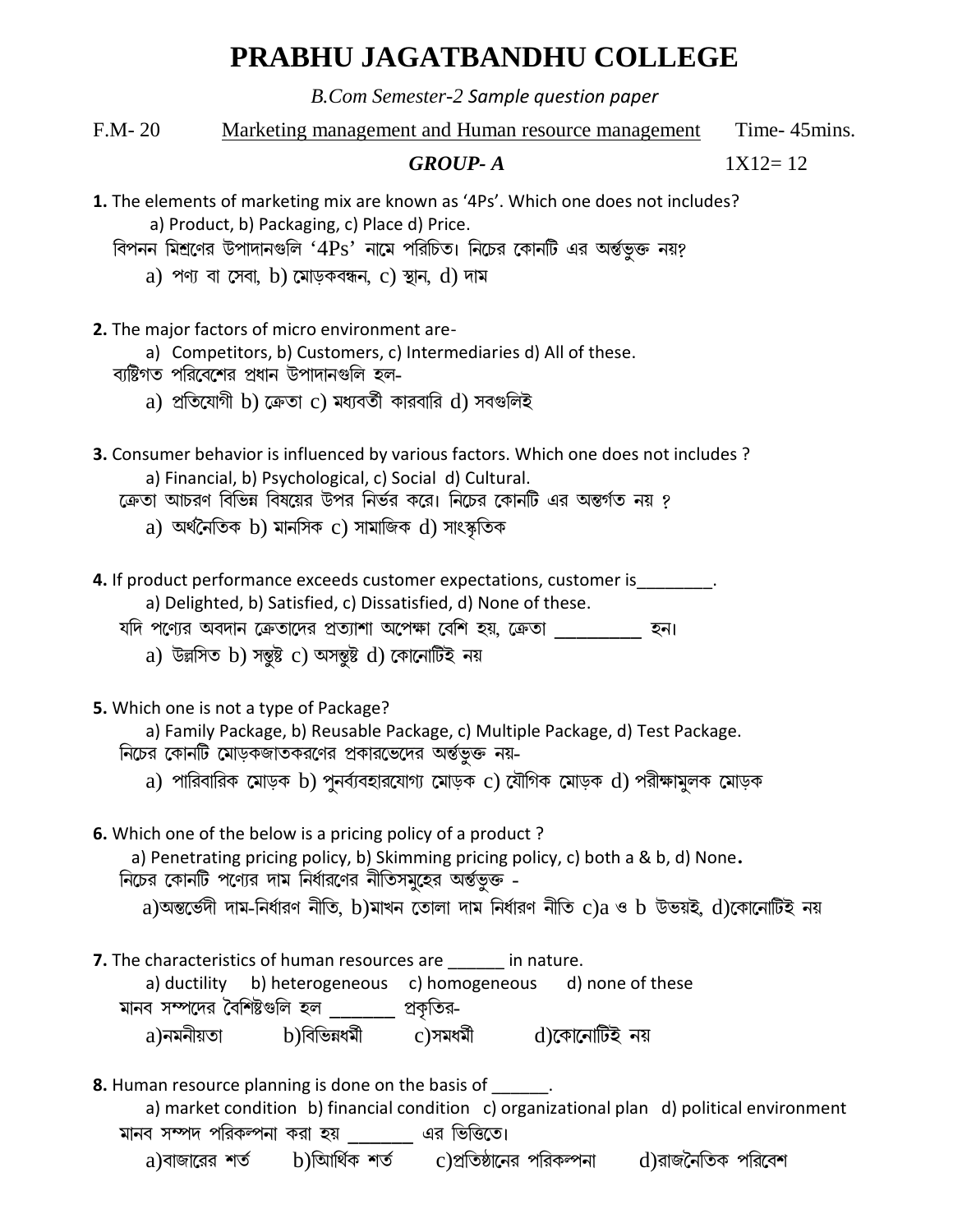## PRABHU JAGATBANDHU COLLEGE

B.Com Semester-2 Sample question paper

 $F.M-20$ Marketing management and Human resource management Time-45mins.

 $1X12=12$ 

## **GROUP-A**

- 1. The elements of marketing mix are known as '4Ps'. Which one does not includes? a) Product, b) Packaging, c) Place d) Price.
	- বিপনন মিশ্রণের উপাদানগুলি ' $4Ps$ ' নামে পরিচিত। নিচের কোনটি এর অর্ন্তভুক্ত নয়?
		- a) পণ্য বা সেবা, b) মোড়কবন্ধন, c) স্থান, d) দাম
- 2. The major factors of micro environment are
	- a) Competitors, b) Customers, c) Intermediaries d) All of these.
	- ব্যষ্টিগত পরিবেশের প্রধান উপাদানগুলি হল
		- a) প্রতিযোগী b) ক্রেতা c) মধ্যবর্তী কারবারি d) সবগুলিই
- 3. Consumer behavior is influenced by various factors. Which one does not includes ? a) Financial, b) Psychological, c) Social d) Cultural.
	- ক্রেতা আচরণ বিভিন্ন বিষয়ের উপর নির্ভর করে। নিচের কোনটি এর অন্তর্গত নয় ?
		- a) অৰ্থনৈতিক b) মানসিক c) সামাজিক  $d$ ) সাংস্কৃতিক
- 4. If product performance exceeds customer expectations, customer is
	- a) Delighted, b) Satisfied, c) Dissatisfied, d) None of these.
	- যদি পণ্যের অবদান ক্রেতাদের প্রত্যাশা অপেক্ষা বেশি হয়, ক্রেতা ব্রারা হন।
		- a) উল্লসিত b) সন্তুষ্ট c) অসন্তুষ্ট d) কোনোটিই নয়
- 5. Which one is not a type of Package?
	- a) Family Package, b) Reusable Package, c) Multiple Package, d) Test Package.
	- নিচের কোনটি মোড়কজাতকরণের প্রকারভেদের অর্ন্তভুক্ত নয়
		- a) পারিবারিক মোড়ক b) পুনর্ব্যবহারযোগ্য মোড়ক c) যৌগিক মোড়ক d) পরীক্ষামুলক মোড়ক
- 6. Which one of the below is a pricing policy of a product?
	- a) Penetrating pricing policy, b) Skimming pricing policy, c) both a & b, d) None. নিচের কোনটি পণ্যের দাম নির্ধারণের নীতিসমুহের অর্ন্তভুক্ত
		- a)অন্তর্ভেদী দাম-নির্ধারণ নীতি, b)মাখন তোলা দাম নির্ধারণ নীতি c)a ও b উভয়ই, d)কোনোটিই নয়
- 7. The characteristics of human resources are in nature.

| a) ductility                | b) heterogeneous c) homogeneous |           | d) none of these |
|-----------------------------|---------------------------------|-----------|------------------|
| মানব সম্পদের বৈশিষ্টগুলি হল |                                 | প্রকৃতির- |                  |
| a)নমনীয়তা                  | b)বিভিন্নধৰ্মী                  | c)সমধৰ্মী | d)কোনোটিই নয়    |

- **8.** Human resource planning is done on the basis of and the same resource planning is done on the basis of
	- a) market condition b) financial condition c) organizational plan d) political environment মানব সম্পদ পরিকল্পনা করা হয় এর ভিত্তিতে।
		- b)আৰ্থিক শৰ্ত c)প্ৰতিষ্ঠানের পরিকল্পনা d)রাজনৈতিক পরিবেশ a)বাজারের শর্ত